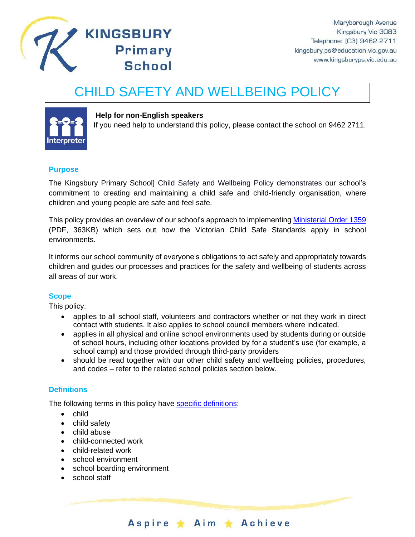

# CHILD SAFETY AND WELLBEING POLICY



#### **Help for non-English speakers**

**Primary** 

**School** 

If you need help to understand this policy, please contact the school on 9462 2711.

#### **Purpose**

The Kingsbury Primary School] Child Safety and Wellbeing Policy demonstrates our school's commitment to creating and maintaining a child safe and child-friendly organisation, where children and young people are safe and feel safe.

This policy provides an overview of our school's approach to implementing [Ministerial Order 1359](https://www.education.vic.gov.au/Documents/about/programs/health/protect/Ministerial_Order.pdf) (PDF, 363KB) which sets out how the Victorian Child Safe Standards apply in school environments.

It informs our school community of everyone's obligations to act safely and appropriately towards children and guides our processes and practices for the safety and wellbeing of students across all areas of our work.

#### **Scope**

This policy:

- applies to all school staff, volunteers and contractors whether or not they work in direct contact with students. It also applies to school council members where indicated.
- applies in all physical and online school environments used by students during or outside of school hours, including other locations provided by for a student's use (for example, a school camp) and those provided through third-party providers
- should be read together with our other child safety and wellbeing policies, procedures, and codes – refer to the related school policies section below.

#### **Definitions**

The following terms in this policy have [specific definitions:](https://www.vic.gov.au/child-safe-standards-definitions)

- child
- child safety
- child abuse
- child-connected work
- child-related work
- school environment
- school boarding environment
- school staff

Aspire \* Aim \* Achieve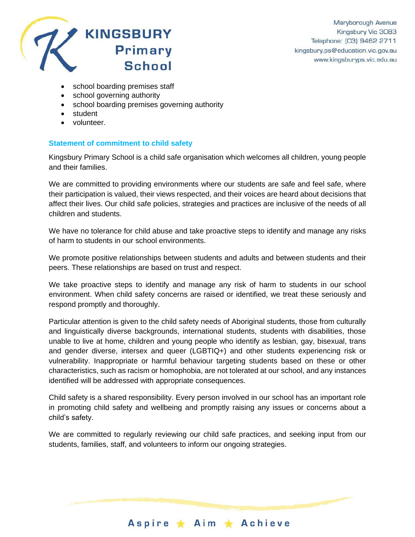

- school boarding premises staff
- school governing authority
- school boarding premises governing authority
- student
- volunteer.

#### **Statement of commitment to child safety**

Kingsbury Primary School is a child safe organisation which welcomes all children, young people and their families.

We are committed to providing environments where our students are safe and feel safe, where their participation is valued, their views respected, and their voices are heard about decisions that affect their lives. Our child safe policies, strategies and practices are inclusive of the needs of all children and students.

We have no tolerance for child abuse and take proactive steps to identify and manage any risks of harm to students in our school environments.

We promote positive relationships between students and adults and between students and their peers. These relationships are based on trust and respect.

We take proactive steps to identify and manage any risk of harm to students in our school environment. When child safety concerns are raised or identified, we treat these seriously and respond promptly and thoroughly.

Particular attention is given to the child safety needs of Aboriginal students, those from culturally and linguistically diverse backgrounds, international students, students with disabilities, those unable to live at home, children and young people who identify as lesbian, gay, bisexual, trans and gender diverse, intersex and queer (LGBTIQ+) and other students experiencing risk or vulnerability. Inappropriate or harmful behaviour targeting students based on these or other characteristics, such as racism or homophobia, are not tolerated at our school, and any instances identified will be addressed with appropriate consequences.

Child safety is a shared responsibility. Every person involved in our school has an important role in promoting child safety and wellbeing and promptly raising any issues or concerns about a child's safety.

We are committed to regularly reviewing our child safe practices, and seeking input from our students, families, staff, and volunteers to inform our ongoing strategies.

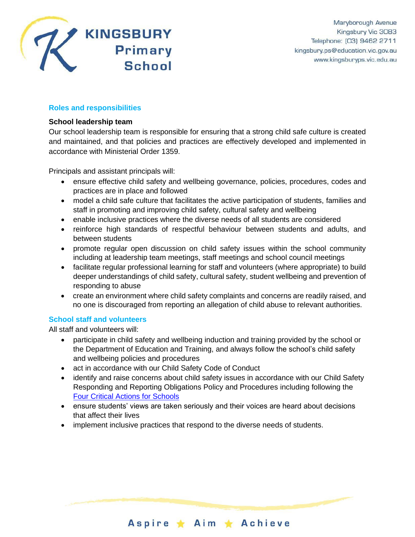

## **Roles and responsibilities**

#### **School leadership team**

Our school leadership team is responsible for ensuring that a strong child safe culture is created and maintained, and that policies and practices are effectively developed and implemented in accordance with Ministerial Order 1359.

Principals and assistant principals will:

- ensure effective child safety and wellbeing governance, policies, procedures, codes and practices are in place and followed
- model a child safe culture that facilitates the active participation of students, families and staff in promoting and improving child safety, cultural safety and wellbeing
- enable inclusive practices where the diverse needs of all students are considered
- reinforce high standards of respectful behaviour between students and adults, and between students
- promote regular open discussion on child safety issues within the school community including at leadership team meetings, staff meetings and school council meetings
- facilitate regular professional learning for staff and volunteers (where appropriate) to build deeper understandings of child safety, cultural safety, student wellbeing and prevention of responding to abuse
- create an environment where child safety complaints and concerns are readily raised, and no one is discouraged from reporting an allegation of child abuse to relevant authorities.

# **School staff and volunteers**

All staff and volunteers will:

- participate in child safety and wellbeing induction and training provided by the school or the Department of Education and Training, and always follow the school's child safety and wellbeing policies and procedures
- act in accordance with our Child Safety Code of Conduct
- identify and raise concerns about child safety issues in accordance with our Child Safety Responding and Reporting Obligations Policy and Procedures including following the [Four Critical Actions for Schools](https://www.education.vic.gov.au/school/teachers/health/childprotection/Pages/report.aspx)
- ensure students' views are taken seriously and their voices are heard about decisions that affect their lives
- implement inclusive practices that respond to the diverse needs of students.

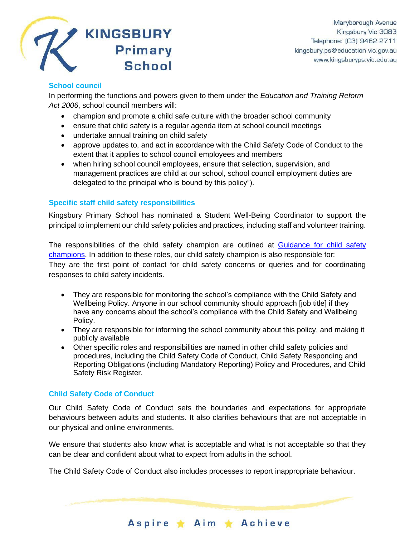

# **School council**

In performing the functions and powers given to them under the *Education and Training Reform Act 2006*, school council members will:

- champion and promote a child safe culture with the broader school community
- ensure that child safety is a regular agenda item at school council meetings
- undertake annual training on child safety
- approve updates to, and act in accordance with the Child Safety Code of Conduct to the extent that it applies to school council employees and members
- when hiring school council employees, ensure that selection, supervision, and management practices are child at our school, school council employment duties are delegated to the principal who is bound by this policy").

## **Specific staff child safety responsibilities**

Kingsbury Primary School has nominated a Student Well-Being Coordinator to support the principal to implement our child safety policies and practices, including staff and volunteer training.

The responsibilities of the child safety champion are outlined at [Guidance for child safety](https://www.vic.gov.au/guidance-child-safety-champions)  [champions.](https://www.vic.gov.au/guidance-child-safety-champions) In addition to these roles, our child safety champion is also responsible for: They are the first point of contact for child safety concerns or queries and for coordinating responses to child safety incidents.

- They are responsible for monitoring the school's compliance with the Child Safety and Wellbeing Policy. Anyone in our school community should approach [job title] if they have any concerns about the school's compliance with the Child Safety and Wellbeing Policy.
- They are responsible for informing the school community about this policy, and making it publicly available
- Other specific roles and responsibilities are named in other child safety policies and procedures, including the Child Safety Code of Conduct, Child Safety Responding and Reporting Obligations (including Mandatory Reporting) Policy and Procedures, and Child Safety Risk Register.

# **Child Safety Code of Conduct**

Our Child Safety Code of Conduct sets the boundaries and expectations for appropriate behaviours between adults and students. It also clarifies behaviours that are not acceptable in our physical and online environments.

We ensure that students also know what is acceptable and what is not acceptable so that they can be clear and confident about what to expect from adults in the school.

Aspire ★ Aim ★ Achieve

The Child Safety Code of Conduct also includes processes to report inappropriate behaviour.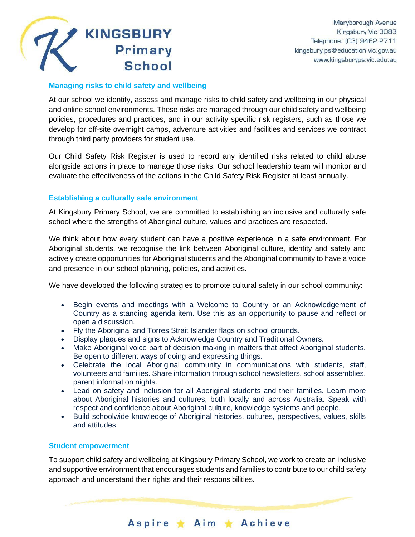

## **Managing risks to child safety and wellbeing**

At our school we identify, assess and manage risks to child safety and wellbeing in our physical and online school environments. These risks are managed through our child safety and wellbeing policies, procedures and practices, and in our activity specific risk registers, such as those we develop for off-site overnight camps, adventure activities and facilities and services we contract through third party providers for student use.

Our Child Safety Risk Register is used to record any identified risks related to child abuse alongside actions in place to manage those risks. Our school leadership team will monitor and evaluate the effectiveness of the actions in the Child Safety Risk Register at least annually.

## **Establishing a culturally safe environment**

At Kingsbury Primary School, we are committed to establishing an inclusive and culturally safe school where the strengths of Aboriginal culture, values and practices are respected.

We think about how every student can have a positive experience in a safe environment. For Aboriginal students, we recognise the link between Aboriginal culture, identity and safety and actively create opportunities for Aboriginal students and the Aboriginal community to have a voice and presence in our school planning, policies, and activities.

We have developed the following strategies to promote cultural safety in our school community:

- Begin events and meetings with a Welcome to Country or an Acknowledgement of Country as a standing agenda item. Use this as an opportunity to pause and reflect or open a discussion.
- Fly the Aboriginal and Torres Strait Islander flags on school grounds.
- Display plaques and signs to Acknowledge Country and Traditional Owners.
- Make Aboriginal voice part of decision making in matters that affect Aboriginal students. Be open to different ways of doing and expressing things.
- Celebrate the local Aboriginal community in communications with students, staff, volunteers and families. Share information through school newsletters, school assemblies, parent information nights.
- Lead on safety and inclusion for all Aboriginal students and their families. Learn more about Aboriginal histories and cultures, both locally and across Australia. Speak with respect and confidence about Aboriginal culture, knowledge systems and people.
- Build schoolwide knowledge of Aboriginal histories, cultures, perspectives, values, skills and attitudes

#### **Student empowerment**

To support child safety and wellbeing at Kingsbury Primary School, we work to create an inclusive and supportive environment that encourages students and families to contribute to our child safety approach and understand their rights and their responsibilities.

Aspire ★ Aim ★ Achieve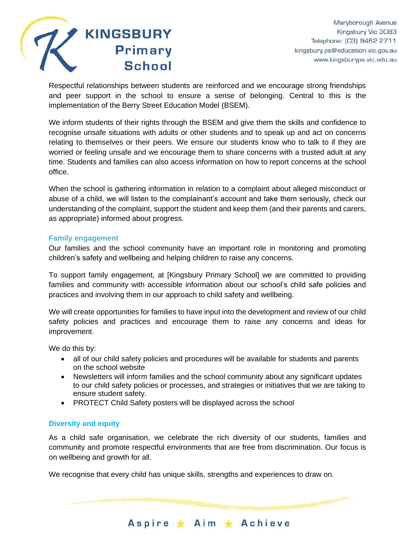

Respectful relationships between students are reinforced and we encourage strong friendships and peer support in the school to ensure a sense of belonging. Central to this is the implementation of the Berry Street Education Model (BSEM).

We inform students of their rights through the BSEM and give them the skills and confidence to recognise unsafe situations with adults or other students and to speak up and act on concerns relating to themselves or their peers. We ensure our students know who to talk to if they are worried or feeling unsafe and we encourage them to share concerns with a trusted adult at any time. Students and families can also access information on how to report concerns at the school office.

When the school is gathering information in relation to a complaint about alleged misconduct or abuse of a child, we will listen to the complainant's account and take them seriously, check our understanding of the complaint, support the student and keep them (and their parents and carers, as appropriate) informed about progress.

#### **Family engagement**

Our families and the school community have an important role in monitoring and promoting children's safety and wellbeing and helping children to raise any concerns.

To support family engagement, at [Kingsbury Primary School] we are committed to providing families and community with accessible information about our school's child safe policies and practices and involving them in our approach to child safety and wellbeing.

We will create opportunities for families to have input into the development and review of our child safety policies and practices and encourage them to raise any concerns and ideas for improvement.

We do this by:

- all of our child safety policies and procedures will be available for students and parents on the school website
- Newsletters will inform families and the school community about any significant updates to our child safety policies or processes, and strategies or initiatives that we are taking to ensure student safety.
- PROTECT Child Safety posters will be displayed across the school

#### **Diversity and equity**

As a child safe organisation, we celebrate the rich diversity of our students, families and community and promote respectful environments that are free from discrimination. Our focus is on wellbeing and growth for all.

Aspire ★ Aim ★ Achieve

We recognise that every child has unique skills, strengths and experiences to draw on.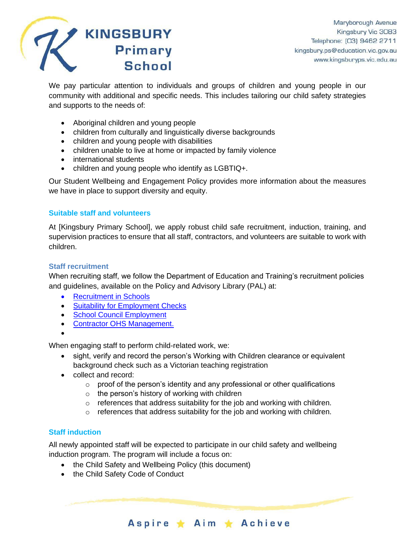

We pay particular attention to individuals and groups of children and young people in our community with additional and specific needs. This includes tailoring our child safety strategies and supports to the needs of:

- Aboriginal children and young people
- children from culturally and linguistically diverse backgrounds
- children and young people with disabilities
- children unable to live at home or impacted by family violence
- international students
- children and young people who identify as LGBTIQ+.

Our Student Wellbeing and Engagement Policy provides more information about the measures we have in place to support diversity and equity.

#### **Suitable staff and volunteers**

At [Kingsbury Primary School], we apply robust child safe recruitment, induction, training, and supervision practices to ensure that all staff, contractors, and volunteers are suitable to work with children.

#### **Staff recruitment**

When recruiting staff, we follow the Department of Education and Training's recruitment policies and guidelines, available on the Policy and Advisory Library (PAL) at:

- **[Recruitment in Schools](https://www2.education.vic.gov.au/pal/recruitment-schools/overview)**
- [Suitability for Employment Checks](https://www2.education.vic.gov.au/pal/suitability-employment-checks/overview)
- [School Council Employment](https://www2.education.vic.gov.au/pal/school-council-employment/overview)
- [Contractor OHS Management.](https://www2.education.vic.gov.au/pal/contractor-ohs-management/policy)
- •

When engaging staff to perform child-related work, we:

- sight, verify and record the person's Working with Children clearance or equivalent background check such as a Victorian teaching registration
- collect and record:
	- $\circ$  proof of the person's identity and any professional or other qualifications
	- $\circ$  the person's history of working with children
	- o references that address suitability for the job and working with children.
	- o references that address suitability for the job and working with children.

Aspire \* Aim \* Achieve

# **Staff induction**

All newly appointed staff will be expected to participate in our child safety and wellbeing induction program. The program will include a focus on:

- the Child Safety and Wellbeing Policy (this document)
- the Child Safety Code of Conduct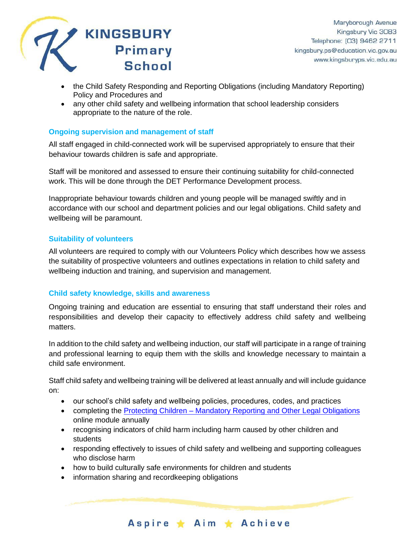

- the Child Safety Responding and Reporting Obligations (including Mandatory Reporting) Policy and Procedures and
- any other child safety and wellbeing information that school leadership considers appropriate to the nature of the role.

#### **Ongoing supervision and management of staff**

All staff engaged in child-connected work will be supervised appropriately to ensure that their behaviour towards children is safe and appropriate.

Staff will be monitored and assessed to ensure their continuing suitability for child-connected work. This will be done through the DET Performance Development process.

Inappropriate behaviour towards children and young people will be managed swiftly and in accordance with our school and department policies and our legal obligations. Child safety and wellbeing will be paramount.

## **Suitability of volunteers**

All volunteers are required to comply with our Volunteers Policy which describes how we assess the suitability of prospective volunteers and outlines expectations in relation to child safety and wellbeing induction and training, and supervision and management.

# **Child safety knowledge, skills and awareness**

Ongoing training and education are essential to ensuring that staff understand their roles and responsibilities and develop their capacity to effectively address child safety and wellbeing matters.

In addition to the child safety and wellbeing induction, our staff will participate in a range of training and professional learning to equip them with the skills and knowledge necessary to maintain a child safe environment.

Staff child safety and wellbeing training will be delivered at least annually and will include guidance on:

- our school's child safety and wellbeing policies, procedures, codes, and practices
- completing the Protecting Children [Mandatory Reporting and Other](http://elearn.com.au/det/protectingchildren/) Legal Obligations online module annually
- recognising indicators of child harm including harm caused by other children and students
- responding effectively to issues of child safety and wellbeing and supporting colleagues who disclose harm

Aspire ★ Aim ★ Achieve

- how to build culturally safe environments for children and students
- information sharing and recordkeeping obligations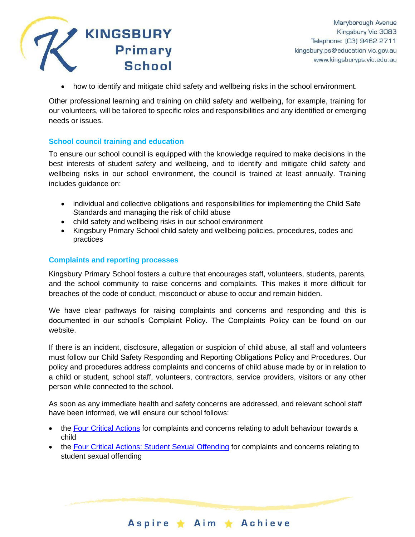

• how to identify and mitigate child safety and wellbeing risks in the school environment.

Other professional learning and training on child safety and wellbeing, for example, training for our volunteers, will be tailored to specific roles and responsibilities and any identified or emerging needs or issues.

#### **School council training and education**

To ensure our school council is equipped with the knowledge required to make decisions in the best interests of student safety and wellbeing, and to identify and mitigate child safety and wellbeing risks in our school environment, the council is trained at least annually. Training includes guidance on:

- individual and collective obligations and responsibilities for implementing the Child Safe Standards and managing the risk of child abuse
- child safety and wellbeing risks in our school environment
- Kingsbury Primary School child safety and wellbeing policies, procedures, codes and practices

#### **Complaints and reporting processes**

Kingsbury Primary School fosters a culture that encourages staff, volunteers, students, parents, and the school community to raise concerns and complaints. This makes it more difficult for breaches of the code of conduct, misconduct or abuse to occur and remain hidden.

We have clear pathways for raising complaints and concerns and responding and this is documented in our school's Complaint Policy. The Complaints Policy can be found on our website.

If there is an incident, disclosure, allegation or suspicion of child abuse, all staff and volunteers must follow our Child Safety Responding and Reporting Obligations Policy and Procedures. Our policy and procedures address complaints and concerns of child abuse made by or in relation to a child or student, school staff, volunteers, contractors, service providers, visitors or any other person while connected to the school.

As soon as any immediate health and safety concerns are addressed, and relevant school staff have been informed, we will ensure our school follows:

- the [Four Critical Actions](https://www.education.vic.gov.au/Documents/about/programs/health/protect/FourCriticalActions_ChildAbuse.pdf) for complaints and concerns relating to adult behaviour towards a child
- the [Four Critical Actions: Student Sexual Offending](https://www.education.vic.gov.au/school/teachers/health/childprotection/Pages/stusexual.aspx) for complaints and concerns relating to student sexual offending

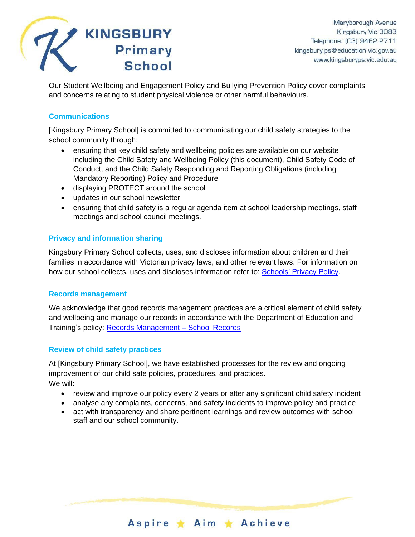

Our Student Wellbeing and Engagement Policy and Bullying Prevention Policy cover complaints and concerns relating to student physical violence or other harmful behaviours.

# **Communications**

[Kingsbury Primary School] is committed to communicating our child safety strategies to the school community through:

- ensuring that key child safety and wellbeing policies are available on our website including the Child Safety and Wellbeing Policy (this document), Child Safety Code of Conduct, and the Child Safety Responding and Reporting Obligations (including Mandatory Reporting) Policy and Procedure
- displaying PROTECT around the school
- updates in our school newsletter
- ensuring that child safety is a regular agenda item at school leadership meetings, staff meetings and school council meetings.

# **Privacy and information sharing**

Kingsbury Primary School collects, uses, and discloses information about children and their families in accordance with Victorian privacy laws, and other relevant laws. For information on how our school collects, uses and discloses information refer to: [Schools' Privacy Policy.](https://www.education.vic.gov.au/Pages/schoolsprivacypolicy.aspx)

#### **Records management**

We acknowledge that good records management practices are a critical element of child safety and wellbeing and manage our records in accordance with the Department of Education and Training's policy: [Records Management –](https://www2.education.vic.gov.au/pal/records-management/policy) School Records

#### **Review of child safety practices**

At [Kingsbury Primary School], we have established processes for the review and ongoing improvement of our child safe policies, procedures, and practices. We will:

- review and improve our policy every 2 years or after any significant child safety incident
- analyse any complaints, concerns, and safety incidents to improve policy and practice
- act with transparency and share pertinent learnings and review outcomes with school staff and our school community.

Aspire ★ Aim ★ Achieve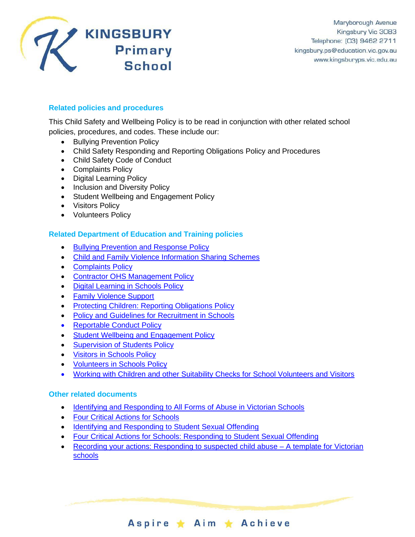

# **Related policies and procedures**

This Child Safety and Wellbeing Policy is to be read in conjunction with other related school policies, procedures, and codes. These include our:

- Bullying Prevention Policy
- Child Safety Responding and Reporting Obligations Policy and Procedures
- Child Safety Code of Conduct
- Complaints Policy
- Digital Learning Policy
- Inclusion and Diversity Policy
- Student Wellbeing and Engagement Policy
- Visitors Policy
- Volunteers Policy

#### **Related Department of Education and Training policies**

- [Bullying Prevention and Response Policy](https://www2.education.vic.gov.au/pal/bullying-prevention-response/policy)
- [Child and Family Violence Information Sharing Schemes](https://www2.education.vic.gov.au/pal/information-sharing-schemes/policy)
- [Complaints Policy](https://www2.education.vic.gov.au/pal/complaints/policy)
- [Contractor OHS Management Policy](https://www2.education.vic.gov.au/pal/contractor-ohs-management/policy)
- [Digital Learning in Schools Policy](https://www2.education.vic.gov.au/pal/digital-learning/policy)
- Family Violence Support
- [Protecting Children: Reporting Obligations Policy](https://www2.education.vic.gov.au/pal/protecting-children/policy)
- [Policy and Guidelines for Recruitment in Schools](https://www2.education.vic.gov.au/pal/recruitment-schools/policy-and-guidelines)
- [Reportable Conduct Policy](https://www2.education.vic.gov.au/pal/reportable-conduct-scheme/policy)
- Student [Wellbeing and Engagement Policy](https://www2.education.vic.gov.au/pal/student-engagement/policy)
- [Supervision of Students Policy](https://www2.education.vic.gov.au/pal/supervision-students/policy)
- [Visitors in Schools Policy](https://www2.education.vic.gov.au/pal/visitors/policy)
- [Volunteers in Schools Policy](https://www2.education.vic.gov.au/pal/volunteers/policy)
- [Working with Children and other Suitability Checks for School Volunteers and Visitors](https://www2.education.vic.gov.au/pal/suitability-checks/policy)

#### **Other related documents**

- [Identifying and Responding to All Forms of Abuse in Victorian Schools](https://www.education.vic.gov.au/Documents/about/programs/health/protect/ChildSafeStandard5_SchoolsGuide.pdf)
- [Four Critical Actions for Schools](https://www.education.vic.gov.au/Documents/about/programs/health/protect/FourCriticalActions_ChildAbuse.pdf)
- [Identifying and Responding to Student Sexual Offending](https://www.education.vic.gov.au/Documents/about/programs/health/protect/SSO_Policy.pdf)
- [Four Critical Actions for Schools: Responding to Student Sexual Offending](https://www.education.vic.gov.au/Documents/about/programs/health/protect/FourCriticalActions_SSO.pdf)
- [Recording your actions: Responding to suspected child abuse –](https://www.education.vic.gov.au/Documents/about/programs/health/protect/PROTECT_Schoolstemplate.pdf) A template for Victorian [schools](https://www.education.vic.gov.au/Documents/about/programs/health/protect/PROTECT_Schoolstemplate.pdf)

Aspire \* Aim \* Achieve